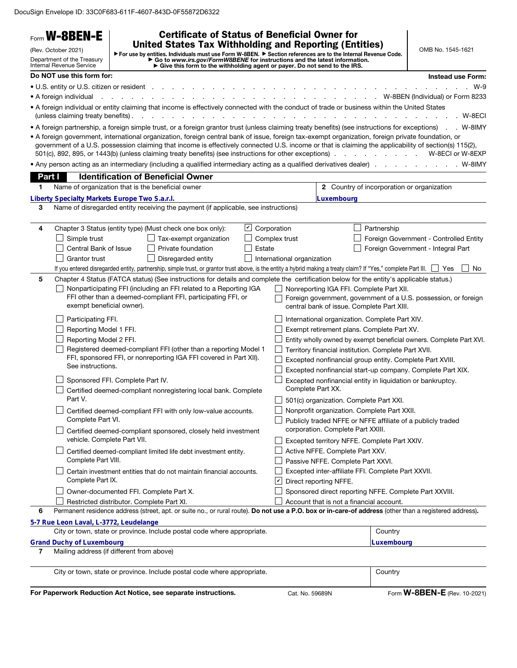DocuSign Envelope ID: 33C0F683-611F-4607-843D-0F55872D6322

|        | Form W-8BEN-E<br>(Rev. October 2021)<br>Department of the Treasury            | <b>Certificate of Status of Beneficial Owner for</b><br><b>United States Tax Withholding and Reporting (Entities)</b><br>► For use by entities. Individuals must use Form W-8BEN. ► Section references are to the Internal Revenue Code.<br>► Go to www.irs.gov/FormW8BENE for instructions and the latest information.<br>► Give this form to the withholdi                                                                                                                                                                                                              |                    |                              |                                                                                                                  |                                                   | OMB No. 1545-1621                                                   |          |
|--------|-------------------------------------------------------------------------------|---------------------------------------------------------------------------------------------------------------------------------------------------------------------------------------------------------------------------------------------------------------------------------------------------------------------------------------------------------------------------------------------------------------------------------------------------------------------------------------------------------------------------------------------------------------------------|--------------------|------------------------------|------------------------------------------------------------------------------------------------------------------|---------------------------------------------------|---------------------------------------------------------------------|----------|
|        | <b>Internal Revenue Service</b>                                               |                                                                                                                                                                                                                                                                                                                                                                                                                                                                                                                                                                           |                    |                              |                                                                                                                  |                                                   |                                                                     |          |
|        | Do NOT use this form for:                                                     |                                                                                                                                                                                                                                                                                                                                                                                                                                                                                                                                                                           |                    |                              |                                                                                                                  |                                                   | <b>Instead use Form:</b>                                            |          |
|        | • U.S. entity or U.S. citizen or resident<br>• A foreign individual           |                                                                                                                                                                                                                                                                                                                                                                                                                                                                                                                                                                           |                    |                              |                                                                                                                  |                                                   | W-8BEN (Individual) or Form 8233                                    | $W-9$    |
|        | (unless claiming treaty benefits).                                            | . A foreign individual or entity claiming that income is effectively connected with the conduct of trade or business within the United States                                                                                                                                                                                                                                                                                                                                                                                                                             |                    |                              |                                                                                                                  |                                                   |                                                                     | .W--8ECI |
|        |                                                                               | • A foreign partnership, a foreign simple trust, or a foreign grantor trust (unless claiming treaty benefits) (see instructions for exceptions)<br>• A foreign government, international organization, foreign central bank of issue, foreign tax-exempt organization, foreign private foundation, or<br>government of a U.S. possession claiming that income is effectively connected U.S. income or that is claiming the applicability of section(s) 115(2),<br>501(c), 892, 895, or 1443(b) (unless claiming treaty benefits) (see instructions for other exceptions). |                    |                              |                                                                                                                  | the contract of the contract of the con-          | W-8ECI or W-8EXP                                                    | . W-8IMY |
|        |                                                                               | • Any person acting as an intermediary (including a qualified intermediary acting as a qualified derivatives dealer)                                                                                                                                                                                                                                                                                                                                                                                                                                                      |                    |                              |                                                                                                                  |                                                   | . W-8IMY                                                            |          |
| Part I |                                                                               | <b>Identification of Beneficial Owner</b>                                                                                                                                                                                                                                                                                                                                                                                                                                                                                                                                 |                    |                              |                                                                                                                  |                                                   |                                                                     |          |
| 1      | Name of organization that is the beneficial owner                             |                                                                                                                                                                                                                                                                                                                                                                                                                                                                                                                                                                           |                    |                              |                                                                                                                  | <b>2</b> Country of incorporation or organization |                                                                     |          |
|        | Liberty Specialty Markets Europe Two S.a.r.l.                                 |                                                                                                                                                                                                                                                                                                                                                                                                                                                                                                                                                                           |                    |                              | Luxembourg                                                                                                       |                                                   |                                                                     |          |
| 3      |                                                                               | Name of disregarded entity receiving the payment (if applicable, see instructions)                                                                                                                                                                                                                                                                                                                                                                                                                                                                                        |                    |                              |                                                                                                                  |                                                   |                                                                     |          |
| 4      |                                                                               |                                                                                                                                                                                                                                                                                                                                                                                                                                                                                                                                                                           | $ \boldsymbol{v} $ |                              |                                                                                                                  |                                                   |                                                                     |          |
|        | Simple trust                                                                  | Chapter 3 Status (entity type) (Must check one box only):<br>Tax-exempt organization                                                                                                                                                                                                                                                                                                                                                                                                                                                                                      |                    | Corporation<br>Complex trust |                                                                                                                  | Partnership                                       | Foreign Government - Controlled Entity                              |          |
|        | Central Bank of Issue                                                         | Private foundation                                                                                                                                                                                                                                                                                                                                                                                                                                                                                                                                                        | Estate             |                              |                                                                                                                  |                                                   | Foreign Government - Integral Part                                  |          |
|        | <b>Grantor trust</b>                                                          | Disregarded entity                                                                                                                                                                                                                                                                                                                                                                                                                                                                                                                                                        |                    | International organization   |                                                                                                                  |                                                   |                                                                     |          |
|        |                                                                               | If you entered disregarded entity, partnership, simple trust, or grantor trust above, is the entity a hybrid making a treaty claim? If "Yes," complete Part III.                                                                                                                                                                                                                                                                                                                                                                                                          |                    |                              |                                                                                                                  |                                                   | ∣ Yes                                                               | No.      |
| 5      |                                                                               | Chapter 4 Status (FATCA status) (See instructions for details and complete the certification below for the entity's applicable status.)                                                                                                                                                                                                                                                                                                                                                                                                                                   |                    |                              |                                                                                                                  |                                                   |                                                                     |          |
|        | exempt beneficial owner).                                                     | Nonparticipating FFI (including an FFI related to a Reporting IGA<br>FFI other than a deemed-compliant FFI, participating FFI, or                                                                                                                                                                                                                                                                                                                                                                                                                                         |                    |                              | Nonreporting IGA FFI. Complete Part XII.<br>central bank of issue. Complete Part XIII.                           |                                                   | Foreign government, government of a U.S. possession, or foreign     |          |
|        | Participating FFI.                                                            |                                                                                                                                                                                                                                                                                                                                                                                                                                                                                                                                                                           |                    |                              | International organization. Complete Part XIV.                                                                   |                                                   |                                                                     |          |
|        | Reporting Model 1 FFI.                                                        |                                                                                                                                                                                                                                                                                                                                                                                                                                                                                                                                                                           |                    |                              | Exempt retirement plans. Complete Part XV.                                                                       |                                                   |                                                                     |          |
|        | Reporting Model 2 FFI.                                                        |                                                                                                                                                                                                                                                                                                                                                                                                                                                                                                                                                                           |                    |                              |                                                                                                                  |                                                   | Entity wholly owned by exempt beneficial owners. Complete Part XVI. |          |
|        | See instructions.                                                             | Registered deemed-compliant FFI (other than a reporting Model 1<br>FFI, sponsored FFI, or nonreporting IGA FFI covered in Part XII).                                                                                                                                                                                                                                                                                                                                                                                                                                      |                    |                              | Territory financial institution. Complete Part XVII.<br>Excepted nonfinancial group entity. Complete Part XVIII. |                                                   |                                                                     |          |
|        |                                                                               |                                                                                                                                                                                                                                                                                                                                                                                                                                                                                                                                                                           |                    |                              |                                                                                                                  |                                                   | Excepted nonfinancial start-up company. Complete Part XIX.          |          |
|        | Sponsored FFI. Complete Part IV.                                              | Certified deemed-compliant nonregistering local bank. Complete                                                                                                                                                                                                                                                                                                                                                                                                                                                                                                            |                    |                              | Complete Part XX.                                                                                                |                                                   | Excepted nonfinancial entity in liquidation or bankruptcy.          |          |
|        | Part V.                                                                       |                                                                                                                                                                                                                                                                                                                                                                                                                                                                                                                                                                           |                    |                              | 501(c) organization. Complete Part XXI.                                                                          |                                                   |                                                                     |          |
|        |                                                                               | Certified deemed-compliant FFI with only low-value accounts.                                                                                                                                                                                                                                                                                                                                                                                                                                                                                                              |                    |                              | Nonprofit organization. Complete Part XXII.                                                                      |                                                   |                                                                     |          |
|        | Complete Part VI.                                                             |                                                                                                                                                                                                                                                                                                                                                                                                                                                                                                                                                                           |                    |                              | corporation. Complete Part XXIII.                                                                                |                                                   | Publicly traded NFFE or NFFE affiliate of a publicly traded         |          |
|        | vehicle. Complete Part VII.                                                   | Certified deemed-compliant sponsored, closely held investment                                                                                                                                                                                                                                                                                                                                                                                                                                                                                                             |                    |                              | Excepted territory NFFE. Complete Part XXIV.                                                                     |                                                   |                                                                     |          |
|        |                                                                               | Certified deemed-compliant limited life debt investment entity.                                                                                                                                                                                                                                                                                                                                                                                                                                                                                                           |                    |                              | Active NFFE. Complete Part XXV.                                                                                  |                                                   |                                                                     |          |
|        | Complete Part VIII.                                                           |                                                                                                                                                                                                                                                                                                                                                                                                                                                                                                                                                                           |                    |                              | Passive NFFE. Complete Part XXVI.                                                                                |                                                   |                                                                     |          |
|        |                                                                               | Certain investment entities that do not maintain financial accounts.                                                                                                                                                                                                                                                                                                                                                                                                                                                                                                      |                    |                              | Excepted inter-affiliate FFI. Complete Part XXVII.                                                               |                                                   |                                                                     |          |
|        | Complete Part IX.                                                             |                                                                                                                                                                                                                                                                                                                                                                                                                                                                                                                                                                           |                    | ⊻                            | Direct reporting NFFE.                                                                                           |                                                   |                                                                     |          |
|        |                                                                               | Owner-documented FFI. Complete Part X.                                                                                                                                                                                                                                                                                                                                                                                                                                                                                                                                    |                    |                              | Sponsored direct reporting NFFE. Complete Part XXVIII.                                                           |                                                   |                                                                     |          |
|        | Restricted distributor. Complete Part XI.                                     |                                                                                                                                                                                                                                                                                                                                                                                                                                                                                                                                                                           |                    |                              | Account that is not a financial account.                                                                         |                                                   |                                                                     |          |
| 6      |                                                                               | Permanent residence address (street, apt. or suite no., or rural route). Do not use a P.O. box or in-care-of address (other than a registered address).                                                                                                                                                                                                                                                                                                                                                                                                                   |                    |                              |                                                                                                                  |                                                   |                                                                     |          |
|        | 5-7 Rue Leon Laval, L-3772, Leudelange                                        |                                                                                                                                                                                                                                                                                                                                                                                                                                                                                                                                                                           |                    |                              |                                                                                                                  |                                                   |                                                                     |          |
|        |                                                                               | City or town, state or province. Include postal code where appropriate.                                                                                                                                                                                                                                                                                                                                                                                                                                                                                                   |                    |                              |                                                                                                                  | Country                                           |                                                                     |          |
| 7      | <b>Grand Duchy of Luxembourg</b><br>Mailing address (if different from above) |                                                                                                                                                                                                                                                                                                                                                                                                                                                                                                                                                                           |                    |                              |                                                                                                                  | Luxembourg                                        |                                                                     |          |
|        |                                                                               | City or town, state or province. Include postal code where appropriate.                                                                                                                                                                                                                                                                                                                                                                                                                                                                                                   |                    |                              |                                                                                                                  | Country                                           |                                                                     |          |
|        |                                                                               | For Paperwork Reduction Act Notice, see separate instructions.                                                                                                                                                                                                                                                                                                                                                                                                                                                                                                            |                    | Cat. No. 59689N              |                                                                                                                  |                                                   | Form <b>W-8BEN-E</b> (Rev. 10-2021)                                 |          |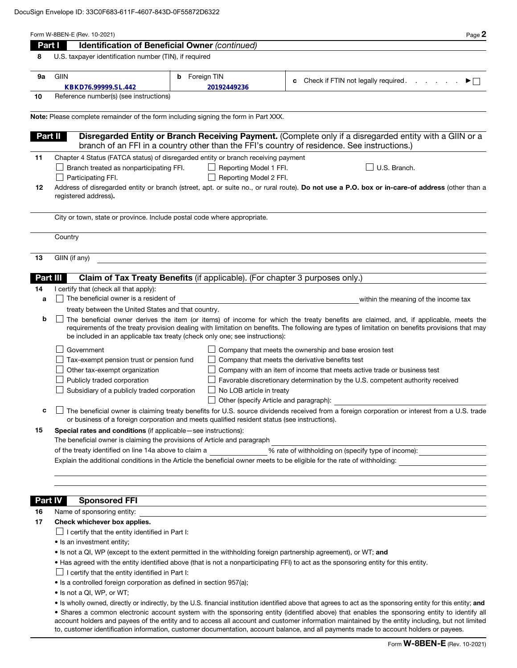| Part I         | Page 2<br>Identification of Beneficial Owner (continued)                                                                                                                                                                                                                                                                                                                                                                                 |  |  |  |  |  |  |
|----------------|------------------------------------------------------------------------------------------------------------------------------------------------------------------------------------------------------------------------------------------------------------------------------------------------------------------------------------------------------------------------------------------------------------------------------------------|--|--|--|--|--|--|
| 8              | U.S. taxpayer identification number (TIN), if required                                                                                                                                                                                                                                                                                                                                                                                   |  |  |  |  |  |  |
|                |                                                                                                                                                                                                                                                                                                                                                                                                                                          |  |  |  |  |  |  |
| 9а             | <b>GIIN</b><br><b>b</b> Foreign TIN<br>Check if FTIN not legally required.<br>▶⊟<br>c<br>KBKD76.99999.SL.442<br>20192449236                                                                                                                                                                                                                                                                                                              |  |  |  |  |  |  |
| 10             | Reference number(s) (see instructions)                                                                                                                                                                                                                                                                                                                                                                                                   |  |  |  |  |  |  |
|                |                                                                                                                                                                                                                                                                                                                                                                                                                                          |  |  |  |  |  |  |
|                | Note: Please complete remainder of the form including signing the form in Part XXX.                                                                                                                                                                                                                                                                                                                                                      |  |  |  |  |  |  |
| Part II        | Disregarded Entity or Branch Receiving Payment. (Complete only if a disregarded entity with a GIIN or a<br>branch of an FFI in a country other than the FFI's country of residence. See instructions.)                                                                                                                                                                                                                                   |  |  |  |  |  |  |
| 11             | Chapter 4 Status (FATCA status) of disregarded entity or branch receiving payment                                                                                                                                                                                                                                                                                                                                                        |  |  |  |  |  |  |
|                | U.S. Branch.<br>Branch treated as nonparticipating FFI.<br>Reporting Model 1 FFI.                                                                                                                                                                                                                                                                                                                                                        |  |  |  |  |  |  |
| 12             | Reporting Model 2 FFI.<br>Participating FFI.<br>Address of disregarded entity or branch (street, apt. or suite no., or rural route). Do not use a P.O. box or in-care-of address (other than a                                                                                                                                                                                                                                           |  |  |  |  |  |  |
|                | registered address).                                                                                                                                                                                                                                                                                                                                                                                                                     |  |  |  |  |  |  |
|                | City or town, state or province. Include postal code where appropriate.                                                                                                                                                                                                                                                                                                                                                                  |  |  |  |  |  |  |
|                | Country                                                                                                                                                                                                                                                                                                                                                                                                                                  |  |  |  |  |  |  |
| 13             | GIIN (if any)                                                                                                                                                                                                                                                                                                                                                                                                                            |  |  |  |  |  |  |
|                |                                                                                                                                                                                                                                                                                                                                                                                                                                          |  |  |  |  |  |  |
| Part III       | Claim of Tax Treaty Benefits (if applicable). (For chapter 3 purposes only.)                                                                                                                                                                                                                                                                                                                                                             |  |  |  |  |  |  |
| 14             | I certify that (check all that apply):                                                                                                                                                                                                                                                                                                                                                                                                   |  |  |  |  |  |  |
| a              | The beneficial owner is a resident of<br>within the meaning of the income tax                                                                                                                                                                                                                                                                                                                                                            |  |  |  |  |  |  |
|                | treaty between the United States and that country.                                                                                                                                                                                                                                                                                                                                                                                       |  |  |  |  |  |  |
| b              | The beneficial owner derives the item (or items) of income for which the treaty benefits are claimed, and, if applicable, meets the<br>requirements of the treaty provision dealing with limitation on benefits. The following are types of limitation on benefits provisions that may<br>be included in an applicable tax treaty (check only one; see instructions):                                                                    |  |  |  |  |  |  |
|                | Government<br>Company that meets the ownership and base erosion test                                                                                                                                                                                                                                                                                                                                                                     |  |  |  |  |  |  |
|                | Tax-exempt pension trust or pension fund<br>Company that meets the derivative benefits test                                                                                                                                                                                                                                                                                                                                              |  |  |  |  |  |  |
|                | Other tax-exempt organization<br>Company with an item of income that meets active trade or business test                                                                                                                                                                                                                                                                                                                                 |  |  |  |  |  |  |
|                | Publicly traded corporation<br>Favorable discretionary determination by the U.S. competent authority received                                                                                                                                                                                                                                                                                                                            |  |  |  |  |  |  |
|                | Subsidiary of a publicly traded corporation<br>No LOB article in treaty                                                                                                                                                                                                                                                                                                                                                                  |  |  |  |  |  |  |
|                | Other (specify Article and paragraph):                                                                                                                                                                                                                                                                                                                                                                                                   |  |  |  |  |  |  |
| c              | The beneficial owner is claiming treaty benefits for U.S. source dividends received from a foreign corporation or interest from a U.S. trade<br>or business of a foreign corporation and meets qualified resident status (see instructions).                                                                                                                                                                                             |  |  |  |  |  |  |
| 15             | <b>Special rates and conditions</b> (if applicable – see instructions):<br>The beneficial owner is claiming the provisions of Article and paragraph                                                                                                                                                                                                                                                                                      |  |  |  |  |  |  |
|                | of the treaty identified on line 14a above to claim a<br>% rate of withholding on (specify type of income):                                                                                                                                                                                                                                                                                                                              |  |  |  |  |  |  |
|                | Explain the additional conditions in the Article the beneficial owner meets to be eligible for the rate of withholding:                                                                                                                                                                                                                                                                                                                  |  |  |  |  |  |  |
|                |                                                                                                                                                                                                                                                                                                                                                                                                                                          |  |  |  |  |  |  |
|                |                                                                                                                                                                                                                                                                                                                                                                                                                                          |  |  |  |  |  |  |
| <b>Part IV</b> | <b>Sponsored FFI</b><br>,我们也不会有什么。""我们的人,我们也不会有什么?""我们的人,我们也不会有什么?""我们的人,我们也不会有什么?""我们的人,我们也不会有什么?""我们的人                                                                                                                                                                                                                                                                                                                                 |  |  |  |  |  |  |
| 16             | Name of sponsoring entity:                                                                                                                                                                                                                                                                                                                                                                                                               |  |  |  |  |  |  |
| 17             | Check whichever box applies.                                                                                                                                                                                                                                                                                                                                                                                                             |  |  |  |  |  |  |
|                | $\Box$ I certify that the entity identified in Part I:                                                                                                                                                                                                                                                                                                                                                                                   |  |  |  |  |  |  |
|                | • Is an investment entity;                                                                                                                                                                                                                                                                                                                                                                                                               |  |  |  |  |  |  |
|                | • Is not a QI, WP (except to the extent permitted in the withholding foreign partnership agreement), or WT; and                                                                                                                                                                                                                                                                                                                          |  |  |  |  |  |  |
|                | • Has agreed with the entity identified above (that is not a nonparticipating FFI) to act as the sponsoring entity for this entity.                                                                                                                                                                                                                                                                                                      |  |  |  |  |  |  |
|                | $\Box$ I certify that the entity identified in Part I:                                                                                                                                                                                                                                                                                                                                                                                   |  |  |  |  |  |  |
|                | • Is a controlled foreign corporation as defined in section 957(a);<br>• Is not a QI, WP, or WT;                                                                                                                                                                                                                                                                                                                                         |  |  |  |  |  |  |
|                | • Is wholly owned, directly or indirectly, by the U.S. financial institution identified above that agrees to act as the sponsoring entity for this entity; and                                                                                                                                                                                                                                                                           |  |  |  |  |  |  |
|                | • Shares a common electronic account system with the sponsoring entity (identified above) that enables the sponsoring entity to identify all<br>account holders and payees of the entity and to access all account and customer information maintained by the entity including, but not limited<br>to, customer identification information, customer documentation, account balance, and all payments made to account holders or payees. |  |  |  |  |  |  |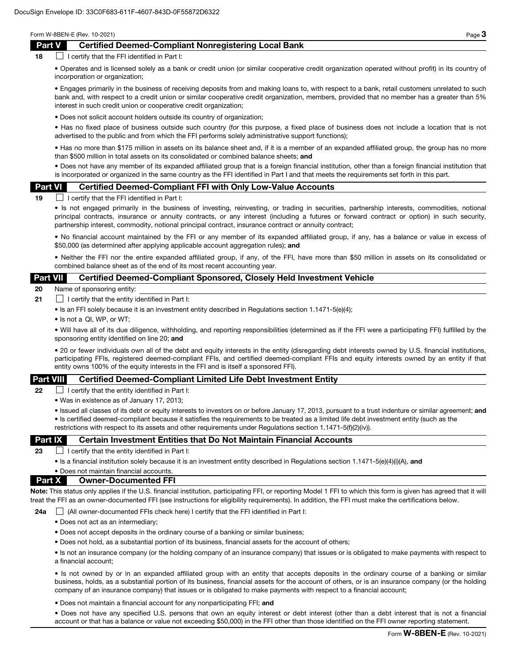## Part V Certified Deemed-Compliant Nonregistering Local Bank

 $18$  I certify that the FFI identified in Part I:

• Operates and is licensed solely as a bank or credit union (or similar cooperative credit organization operated without profit) in its country of incorporation or organization;

• Engages primarily in the business of receiving deposits from and making loans to, with respect to a bank, retail customers unrelated to such bank and, with respect to a credit union or similar cooperative credit organization, members, provided that no member has a greater than 5% interest in such credit union or cooperative credit organization;

• Does not solicit account holders outside its country of organization;

• Has no fixed place of business outside such country (for this purpose, a fixed place of business does not include a location that is not advertised to the public and from which the FFI performs solely administrative support functions);

• Has no more than \$175 million in assets on its balance sheet and, if it is a member of an expanded affiliated group, the group has no more than \$500 million in total assets on its consolidated or combined balance sheets; and

• Does not have any member of its expanded affiliated group that is a foreign financial institution, other than a foreign financial institution that is incorporated or organized in the same country as the FFI identified in Part I and that meets the requirements set forth in this part.

#### Part VI Certified Deemed-Compliant FFI with Only Low-Value Accounts

 $19$  I certify that the FFI identified in Part I:

• Is not engaged primarily in the business of investing, reinvesting, or trading in securities, partnership interests, commodities, notional principal contracts, insurance or annuity contracts, or any interest (including a futures or forward contract or option) in such security, partnership interest, commodity, notional principal contract, insurance contract or annuity contract;

• No financial account maintained by the FFI or any member of its expanded affiliated group, if any, has a balance or value in excess of \$50,000 (as determined after applying applicable account aggregation rules); and

• Neither the FFI nor the entire expanded affiliated group, if any, of the FFI, have more than \$50 million in assets on its consolidated or combined balance sheet as of the end of its most recent accounting year.

### Part VII Certified Deemed-Compliant Sponsored, Closely Held Investment Vehicle

20 Name of sponsoring entity:

- **21**  $\Box$  I certify that the entity identified in Part I:
	- Is an FFI solely because it is an investment entity described in Regulations section 1.1471-5(e)(4);
	- Is not a QI, WP, or WT;

• Will have all of its due diligence, withholding, and reporting responsibilities (determined as if the FFI were a participating FFI) fulfilled by the sponsoring entity identified on line 20; and

• 20 or fewer individuals own all of the debt and equity interests in the entity (disregarding debt interests owned by U.S. financial institutions, participating FFIs, registered deemed-compliant FFIs, and certified deemed-compliant FFIs and equity interests owned by an entity if that entity owns 100% of the equity interests in the FFI and is itself a sponsored FFI).

### Part VIII Certified Deemed-Compliant Limited Life Debt Investment Entity

**22**  $\Box$  I certify that the entity identified in Part I:

• Was in existence as of January 17, 2013;

• Issued all classes of its debt or equity interests to investors on or before January 17, 2013, pursuant to a trust indenture or similar agreement; and • Is certified deemed-compliant because it satisfies the requirements to be treated as a limited life debt investment entity (such as the restrictions with respect to its assets and other requirements under Regulations section 1.1471-5(f)(2)(iv)).

### Part IX Certain Investment Entities that Do Not Maintain Financial Accounts

23  $\Box$  I certify that the entity identified in Part I:

• Is a financial institution solely because it is an investment entity described in Regulations section 1.1471-5(e)(4)(i)(A), and

### • Does not maintain financial accounts. Part X Owner-Documented FFI

Note: This status only applies if the U.S. financial institution, participating FFI, or reporting Model 1 FFI to which this form is given has agreed that it will treat the FFI as an owner-documented FFI (see instructions for eligibility requirements). In addition, the FFI must make the certifications below.

24a  $\Box$  (All owner-documented FFIs check here) I certify that the FFI identified in Part I:

- Does not act as an intermediary;
- Does not accept deposits in the ordinary course of a banking or similar business;
- Does not hold, as a substantial portion of its business, financial assets for the account of others;

• Is not an insurance company (or the holding company of an insurance company) that issues or is obligated to make payments with respect to a financial account;

• Is not owned by or in an expanded affiliated group with an entity that accepts deposits in the ordinary course of a banking or similar business, holds, as a substantial portion of its business, financial assets for the account of others, or is an insurance company (or the holding company of an insurance company) that issues or is obligated to make payments with respect to a financial account;

• Does not maintain a financial account for any nonparticipating FFI; and

• Does not have any specified U.S. persons that own an equity interest or debt interest (other than a debt interest that is not a financial account or that has a balance or value not exceeding \$50,000) in the FFI other than those identified on the FFI owner reporting statement.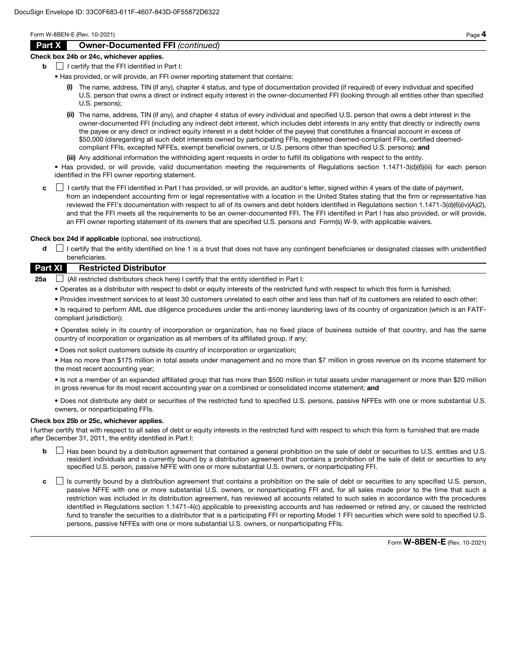# Part X Owner-Documented FFI *(continued)*

#### Check box 24b or 24c, whichever applies.

- $\mathbf{b}$  | I certify that the FFI identified in Part I:
	- Has provided, or will provide, an FFI owner reporting statement that contains:
		- (i) The name, address, TIN (if any), chapter 4 status, and type of documentation provided (if required) of every individual and specified U.S. person that owns a direct or indirect equity interest in the owner-documented FFI (looking through all entities other than specified U.S. persons);
		- (ii) The name, address, TIN (if any), and chapter 4 status of every individual and specified U.S. person that owns a debt interest in the owner-documented FFI (including any indirect debt interest, which includes debt interests in any entity that directly or indirectly owns the payee or any direct or indirect equity interest in a debt holder of the payee) that constitutes a financial account in excess of \$50,000 (disregarding all such debt interests owned by participating FFIs, registered deemed-compliant FFIs, certified deemedcompliant FFIs, excepted NFFEs, exempt beneficial owners, or U.S. persons other than specified U.S. persons); and
		- (iii) Any additional information the withholding agent requests in order to fulfill its obligations with respect to the entity.

• Has provided, or will provide, valid documentation meeting the requirements of Regulations section 1.1471-3(d)(6)(iii) for each person identified in the FFI owner reporting statement.

c **I** certify that the FFI identified in Part I has provided, or will provide, an auditor's letter, signed within 4 years of the date of payment, from an independent accounting firm or legal representative with a location in the United States stating that the firm or representative has reviewed the FFI's documentation with respect to all of its owners and debt holders identified in Regulations section 1.1471-3(d)(6)(iv)(A)(2), and that the FFI meets all the requirements to be an owner-documented FFI. The FFI identified in Part I has also provided, or will provide, an FFI owner reporting statement of its owners that are specified U.S. persons and Form(s) W-9, with applicable waivers.

Check box 24d if applicable (optional, see instructions).

d  $\Box$  I certify that the entity identified on line 1 is a trust that does not have any contingent beneficiaries or designated classes with unidentified beneficiaries.

# Part XI Restricted Distributor

**25a**  $\Box$  (All restricted distributors check here) I certify that the entity identified in Part I:

- Operates as a distributor with respect to debt or equity interests of the restricted fund with respect to which this form is furnished;
- Provides investment services to at least 30 customers unrelated to each other and less than half of its customers are related to each other;

• Is required to perform AML due diligence procedures under the anti-money laundering laws of its country of organization (which is an FATFcompliant jurisdiction);

• Operates solely in its country of incorporation or organization, has no fixed place of business outside of that country, and has the same country of incorporation or organization as all members of its affiliated group, if any;

• Does not solicit customers outside its country of incorporation or organization;

• Has no more than \$175 million in total assets under management and no more than \$7 million in gross revenue on its income statement for the most recent accounting year;

• Is not a member of an expanded affiliated group that has more than \$500 million in total assets under management or more than \$20 million in gross revenue for its most recent accounting year on a combined or consolidated income statement; and

• Does not distribute any debt or securities of the restricted fund to specified U.S. persons, passive NFFEs with one or more substantial U.S. owners, or nonparticipating FFIs.

## Check box 25b or 25c, whichever applies.

I further certify that with respect to all sales of debt or equity interests in the restricted fund with respect to which this form is furnished that are made after December 31, 2011, the entity identified in Part I:

- **b**  $\Box$  Has been bound by a distribution agreement that contained a general prohibition on the sale of debt or securities to U.S. entities and U.S. resident individuals and is currently bound by a distribution agreement that contains a prohibition of the sale of debt or securities to any specified U.S. person, passive NFFE with one or more substantial U.S. owners, or nonparticipating FFI.
- c  $\Box$  Is currently bound by a distribution agreement that contains a prohibition on the sale of debt or securities to any specified U.S. person, passive NFFE with one or more substantial U.S. owners, or nonparticipating FFI and, for all sales made prior to the time that such a restriction was included in its distribution agreement, has reviewed all accounts related to such sales in accordance with the procedures identified in Regulations section 1.1471-4(c) applicable to preexisting accounts and has redeemed or retired any, or caused the restricted fund to transfer the securities to a distributor that is a participating FFI or reporting Model 1 FFI securities which were sold to specified U.S. persons, passive NFFEs with one or more substantial U.S. owners, or nonparticipating FFIs.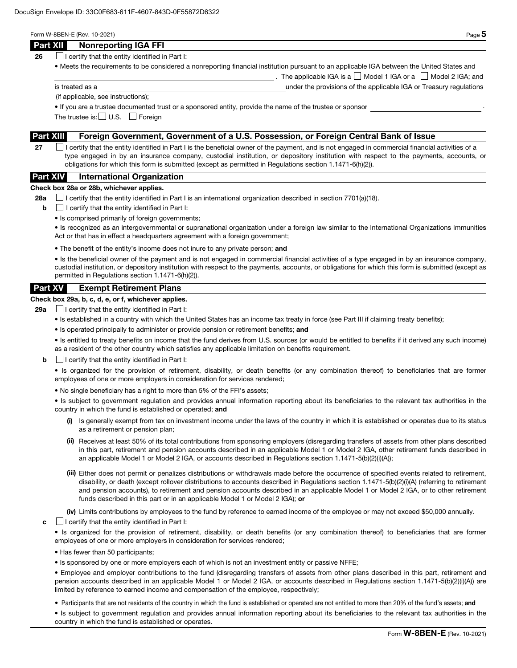| × |
|---|
| ۹ |

The applicable IGA is a  $\Box$  Model 1 IGA or a  $\Box$  Model 2 IGA; and

| Part XII | <b>Nonreporting IGA FFI</b> |  |
|----------|-----------------------------|--|
|----------|-----------------------------|--|

**26**  $\Box$  I certify that the entity identified in Part I:

• Meets the requirements to be considered a nonreporting financial institution pursuant to an applicable IGA between the United States and

is treated as a under the provisions of the applicable IGA or Treasury regulations

(if applicable, see instructions);

• If you are a trustee documented trust or a sponsored entity, provide the name of the trustee or sponsor .

The trustee is:  $\Box$  U.S.  $\Box$  Foreign

## Part XIII Foreign Government, Government of a U.S. Possession, or Foreign Central Bank of Issue

27  $\Box$  I certify that the entity identified in Part I is the beneficial owner of the payment, and is not engaged in commercial financial activities of a type engaged in by an insurance company, custodial institution, or depository institution with respect to the payments, accounts, or obligations for which this form is submitted (except as permitted in Regulations section 1.1471-6(h)(2)).

## Part XIV International Organization

#### Check box 28a or 28b, whichever applies.

28a  $\Box$  I certify that the entity identified in Part I is an international organization described in section 7701(a)(18).

- $\mathbf{b}$   $\Box$  I certify that the entity identified in Part I:
	- Is comprised primarily of foreign governments;

• Is recognized as an intergovernmental or supranational organization under a foreign law similar to the International Organizations Immunities Act or that has in effect a headquarters agreement with a foreign government;

• The benefit of the entity's income does not inure to any private person; and

• Is the beneficial owner of the payment and is not engaged in commercial financial activities of a type engaged in by an insurance company, custodial institution, or depository institution with respect to the payments, accounts, or obligations for which this form is submitted (except as permitted in Regulations section 1.1471-6(h)(2)).

## Part XV Exempt Retirement Plans

## Check box 29a, b, c, d, e, or f, whichever applies.

**29a**  $\Box$  I certify that the entity identified in Part I:

- Is established in a country with which the United States has an income tax treaty in force (see Part III if claiming treaty benefits);
- Is operated principally to administer or provide pension or retirement benefits; and

• Is entitled to treaty benefits on income that the fund derives from U.S. sources (or would be entitled to benefits if it derived any such income) as a resident of the other country which satisfies any applicable limitation on benefits requirement.

 $\mathbf{b}$   $\Box$  I certify that the entity identified in Part I:

• Is organized for the provision of retirement, disability, or death benefits (or any combination thereof) to beneficiaries that are former employees of one or more employers in consideration for services rendered;

• No single beneficiary has a right to more than 5% of the FFI's assets;

• Is subject to government regulation and provides annual information reporting about its beneficiaries to the relevant tax authorities in the country in which the fund is established or operated; and

- (i) Is generally exempt from tax on investment income under the laws of the country in which it is established or operates due to its status as a retirement or pension plan;
- (ii) Receives at least 50% of its total contributions from sponsoring employers (disregarding transfers of assets from other plans described in this part, retirement and pension accounts described in an applicable Model 1 or Model 2 IGA, other retirement funds described in an applicable Model 1 or Model 2 IGA, or accounts described in Regulations section 1.1471-5(b)(2)(i)(A));
- (iii) Either does not permit or penalizes distributions or withdrawals made before the occurrence of specified events related to retirement, disability, or death (except rollover distributions to accounts described in Regulations section 1.1471-5(b)(2)(i)(A) (referring to retirement and pension accounts), to retirement and pension accounts described in an applicable Model 1 or Model 2 IGA, or to other retirement funds described in this part or in an applicable Model 1 or Model 2 IGA); or

(iv) Limits contributions by employees to the fund by reference to earned income of the employee or may not exceed \$50,000 annually.

 $\mathbf{c}$   $\Box$  I certify that the entity identified in Part I:

• Is organized for the provision of retirement, disability, or death benefits (or any combination thereof) to beneficiaries that are former employees of one or more employers in consideration for services rendered;

- Has fewer than 50 participants;
- Is sponsored by one or more employers each of which is not an investment entity or passive NFFE;

• Employee and employer contributions to the fund (disregarding transfers of assets from other plans described in this part, retirement and pension accounts described in an applicable Model 1 or Model 2 IGA, or accounts described in Regulations section 1.1471-5(b)(2)(i)(A)) are limited by reference to earned income and compensation of the employee, respectively;

• Participants that are not residents of the country in which the fund is established or operated are not entitled to more than 20% of the fund's assets; and

• Is subject to government regulation and provides annual information reporting about its beneficiaries to the relevant tax authorities in the country in which the fund is established or operates.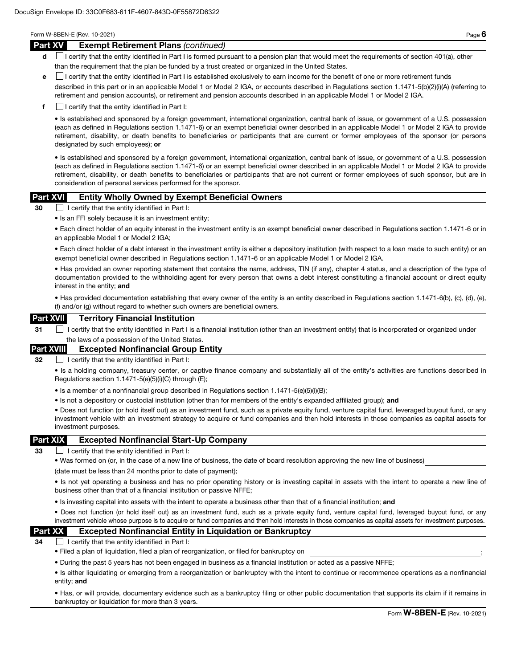#### Part XV Exempt Retirement Plans *(continued)*

- d **I** certify that the entity identified in Part I is formed pursuant to a pension plan that would meet the requirements of section 401(a), other than the requirement that the plan be funded by a trust created or organized in the United States.
- e I certify that the entity identified in Part I is established exclusively to earn income for the benefit of one or more retirement funds

described in this part or in an applicable Model 1 or Model 2 IGA, or accounts described in Regulations section 1.1471-5(b)(2)(i)(A) (referring to retirement and pension accounts), or retirement and pension accounts described in an applicable Model 1 or Model 2 IGA.

 $\mathbf{f}$  I certify that the entity identified in Part I:

• Is established and sponsored by a foreign government, international organization, central bank of issue, or government of a U.S. possession (each as defined in Regulations section 1.1471-6) or an exempt beneficial owner described in an applicable Model 1 or Model 2 IGA to provide retirement, disability, or death benefits to beneficiaries or participants that are current or former employees of the sponsor (or persons designated by such employees); or

• Is established and sponsored by a foreign government, international organization, central bank of issue, or government of a U.S. possession (each as defined in Regulations section 1.1471-6) or an exempt beneficial owner described in an applicable Model 1 or Model 2 IGA to provide retirement, disability, or death benefits to beneficiaries or participants that are not current or former employees of such sponsor, but are in consideration of personal services performed for the sponsor.

## Part XVI Entity Wholly Owned by Exempt Beneficial Owners

30 I certify that the entity identified in Part I:

• Is an FFI solely because it is an investment entity;

• Each direct holder of an equity interest in the investment entity is an exempt beneficial owner described in Regulations section 1.1471-6 or in an applicable Model 1 or Model 2 IGA;

• Each direct holder of a debt interest in the investment entity is either a depository institution (with respect to a loan made to such entity) or an exempt beneficial owner described in Regulations section 1.1471-6 or an applicable Model 1 or Model 2 IGA.

• Has provided an owner reporting statement that contains the name, address, TIN (if any), chapter 4 status, and a description of the type of documentation provided to the withholding agent for every person that owns a debt interest constituting a financial account or direct equity interest in the entity; and

• Has provided documentation establishing that every owner of the entity is an entity described in Regulations section 1.1471-6(b), (c), (d), (e), (f) and/or (g) without regard to whether such owners are beneficial owners.

### Part XVII Territory Financial Institution

31 I certify that the entity identified in Part I is a financial institution (other than an investment entity) that is incorporated or organized under the laws of a possession of the United States

### Part XVIII Excepted Nonfinancial Group Entity

32 **I certify that the entity identified in Part I:** 

• Is a holding company, treasury center, or captive finance company and substantially all of the entity's activities are functions described in Regulations section 1.1471-5(e)(5)(i)(C) through (E);

- Is a member of a nonfinancial group described in Regulations section 1.1471-5(e)(5)(i)(B);
- Is not a depository or custodial institution (other than for members of the entity's expanded affiliated group); and

• Does not function (or hold itself out) as an investment fund, such as a private equity fund, venture capital fund, leveraged buyout fund, or any investment vehicle with an investment strategy to acquire or fund companies and then hold interests in those companies as capital assets for investment purposes.

### Part XIX Excepted Nonfinancial Start-Up Company

33  $\Box$  I certify that the entity identified in Part I:

• Was formed on (or, in the case of a new line of business, the date of board resolution approving the new line of business)

(date must be less than 24 months prior to date of payment);

• Is not yet operating a business and has no prior operating history or is investing capital in assets with the intent to operate a new line of business other than that of a financial institution or passive NFFE;

• Is investing capital into assets with the intent to operate a business other than that of a financial institution; and

• Does not function (or hold itself out) as an investment fund, such as a private equity fund, venture capital fund, leveraged buyout fund, or any investment vehicle whose purpose is to acquire or fund companies and then hold interests in those companies as capital assets for investment purposes.

# Part XX Excepted Nonfinancial Entity in Liquidation or Bankruptcy

 $34$   $\Box$  I certify that the entity identified in Part I:

- Filed a plan of liquidation, filed a plan of reorganization, or filed for bankruptcy on ;
- During the past 5 years has not been engaged in business as a financial institution or acted as a passive NFFE;

• Is either liquidating or emerging from a reorganization or bankruptcy with the intent to continue or recommence operations as a nonfinancial entity; and

• Has, or will provide, documentary evidence such as a bankruptcy filing or other public documentation that supports its claim if it remains in bankruptcy or liquidation for more than 3 years.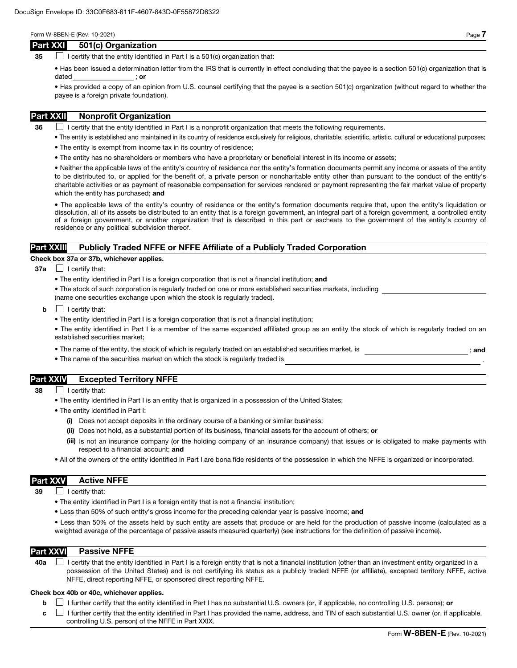### Part XXI 501(c) Organization

35  $\Box$  I certify that the entity identified in Part I is a 501(c) organization that:

• Has been issued a determination letter from the IRS that is currently in effect concluding that the payee is a section 501(c) organization that is dated ; or

• Has provided a copy of an opinion from U.S. counsel certifying that the payee is a section 501(c) organization (without regard to whether the payee is a foreign private foundation).

# Part XXII Nonprofit Organization

 $36$  I certify that the entity identified in Part I is a nonprofit organization that meets the following requirements.

- The entity is established and maintained in its country of residence exclusively for religious, charitable, scientific, artistic, cultural or educational purposes;
- The entity is exempt from income tax in its country of residence;
- The entity has no shareholders or members who have a proprietary or beneficial interest in its income or assets;

• Neither the applicable laws of the entity's country of residence nor the entity's formation documents permit any income or assets of the entity to be distributed to, or applied for the benefit of, a private person or noncharitable entity other than pursuant to the conduct of the entity's charitable activities or as payment of reasonable compensation for services rendered or payment representing the fair market value of property which the entity has purchased; and

• The applicable laws of the entity's country of residence or the entity's formation documents require that, upon the entity's liquidation or dissolution, all of its assets be distributed to an entity that is a foreign government, an integral part of a foreign government, a controlled entity of a foreign government, or another organization that is described in this part or escheats to the government of the entity's country of residence or any political subdivision thereof.

## Part XXIII Publicly Traded NFFE or NFFE Affiliate of a Publicly Traded Corporation

#### Check box 37a or 37b, whichever applies.

- $37a$  | certify that:
	- The entity identified in Part I is a foreign corporation that is not a financial institution; and
	- The stock of such corporation is regularly traded on one or more established securities markets, including (name one securities exchange upon which the stock is regularly traded).
	- $\mathbf{b}$   $\Box$  I certify that:
		- The entity identified in Part I is a foreign corporation that is not a financial institution;

• The entity identified in Part I is a member of the same expanded affiliated group as an entity the stock of which is regularly traded on an established securities market;

- The name of the entity, the stock of which is regularly traded on an established securities market, is  $\cdot$  ; and
- The name of the securities market on which the stock is regularly traded is

# Part XXIV Excepted Territory NFFE

- 38 **I** certify that:
	- The entity identified in Part I is an entity that is organized in a possession of the United States;
	- The entity identified in Part I:
		- (i) Does not accept deposits in the ordinary course of a banking or similar business;
		- (ii) Does not hold, as a substantial portion of its business, financial assets for the account of others; or
		- (iii) Is not an insurance company (or the holding company of an insurance company) that issues or is obligated to make payments with respect to a financial account; and
	- All of the owners of the entity identified in Part I are bona fide residents of the possession in which the NFFE is organized or incorporated.

## Part XXV Active NFFE

 $39$  | I certify that:

- The entity identified in Part I is a foreign entity that is not a financial institution;
- Less than 50% of such entity's gross income for the preceding calendar year is passive income; and

• Less than 50% of the assets held by such entity are assets that produce or are held for the production of passive income (calculated as a weighted average of the percentage of passive assets measured quarterly) (see instructions for the definition of passive income).

### Part XXVI Passive NFFE

40a  $\Box$  I certify that the entity identified in Part I is a foreign entity that is not a financial institution (other than an investment entity organized in a possession of the United States) and is not certifying its status as a publicly traded NFFE (or affiliate), excepted territory NFFE, active NFFE, direct reporting NFFE, or sponsored direct reporting NFFE.

#### Check box 40b or 40c, whichever applies.

**b**  $\Box$  I further certify that the entity identified in Part I has no substantial U.S. owners (or, if applicable, no controlling U.S. persons); or

 $c \perp$  I further certify that the entity identified in Part I has provided the name, address, and TIN of each substantial U.S. owner (or, if applicable, controlling U.S. person) of the NFFE in Part XXIX.